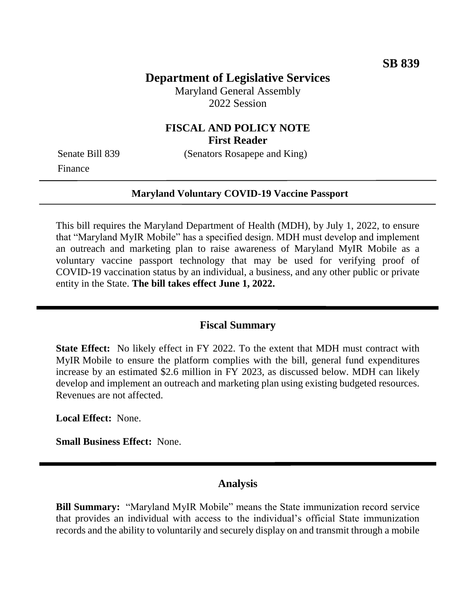## **Department of Legislative Services**

Maryland General Assembly 2022 Session

### **FISCAL AND POLICY NOTE First Reader**

Finance

Senate Bill 839 (Senators Rosapepe and King)

#### **Maryland Voluntary COVID-19 Vaccine Passport**

This bill requires the Maryland Department of Health (MDH), by July 1, 2022, to ensure that "Maryland MyIR Mobile" has a specified design. MDH must develop and implement an outreach and marketing plan to raise awareness of Maryland MyIR Mobile as a voluntary vaccine passport technology that may be used for verifying proof of COVID-19 vaccination status by an individual, a business, and any other public or private entity in the State. **The bill takes effect June 1, 2022.**

#### **Fiscal Summary**

**State Effect:** No likely effect in FY 2022. To the extent that MDH must contract with MyIR Mobile to ensure the platform complies with the bill, general fund expenditures increase by an estimated \$2.6 million in FY 2023, as discussed below. MDH can likely develop and implement an outreach and marketing plan using existing budgeted resources. Revenues are not affected.

**Local Effect:** None.

**Small Business Effect:** None.

### **Analysis**

**Bill Summary:** "Maryland MyIR Mobile" means the State immunization record service that provides an individual with access to the individual's official State immunization records and the ability to voluntarily and securely display on and transmit through a mobile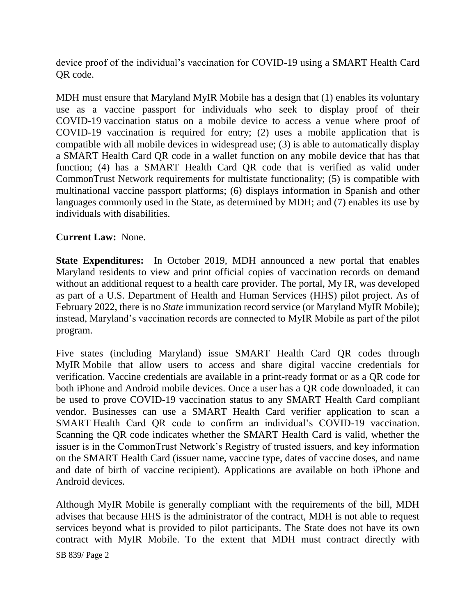device proof of the individual's vaccination for COVID-19 using a SMART Health Card QR code.

MDH must ensure that Maryland MyIR Mobile has a design that (1) enables its voluntary use as a vaccine passport for individuals who seek to display proof of their COVID-19 vaccination status on a mobile device to access a venue where proof of COVID-19 vaccination is required for entry; (2) uses a mobile application that is compatible with all mobile devices in widespread use; (3) is able to automatically display a SMART Health Card QR code in a wallet function on any mobile device that has that function; (4) has a SMART Health Card QR code that is verified as valid under CommonTrust Network requirements for multistate functionality; (5) is compatible with multinational vaccine passport platforms; (6) displays information in Spanish and other languages commonly used in the State, as determined by MDH; and (7) enables its use by individuals with disabilities.

## **Current Law:** None.

**State Expenditures:** In October 2019, MDH announced a new portal that enables Maryland residents to view and print official copies of vaccination records on demand without an additional request to a health care provider. The portal, My IR, was developed as part of a U.S. Department of Health and Human Services (HHS) pilot project. As of February 2022, there is no *State* immunization record service (or Maryland MyIR Mobile); instead, Maryland's vaccination records are connected to MyIR Mobile as part of the pilot program.

Five states (including Maryland) issue SMART Health Card QR codes through MyIR Mobile that allow users to access and share digital vaccine credentials for verification. Vaccine credentials are available in a print-ready format or as a QR code for both iPhone and Android mobile devices. Once a user has a QR code downloaded, it can be used to prove COVID-19 vaccination status to any SMART Health Card compliant vendor. Businesses can use a SMART Health Card verifier application to scan a SMART Health Card QR code to confirm an individual's COVID-19 vaccination. Scanning the QR code indicates whether the SMART Health Card is valid, whether the issuer is in the CommonTrust Network's Registry of trusted issuers, and key information on the SMART Health Card (issuer name, vaccine type, dates of vaccine doses, and name and date of birth of vaccine recipient). Applications are available on both iPhone and Android devices.

Although MyIR Mobile is generally compliant with the requirements of the bill, MDH advises that because HHS is the administrator of the contract, MDH is not able to request services beyond what is provided to pilot participants. The State does not have its own contract with MyIR Mobile. To the extent that MDH must contract directly with